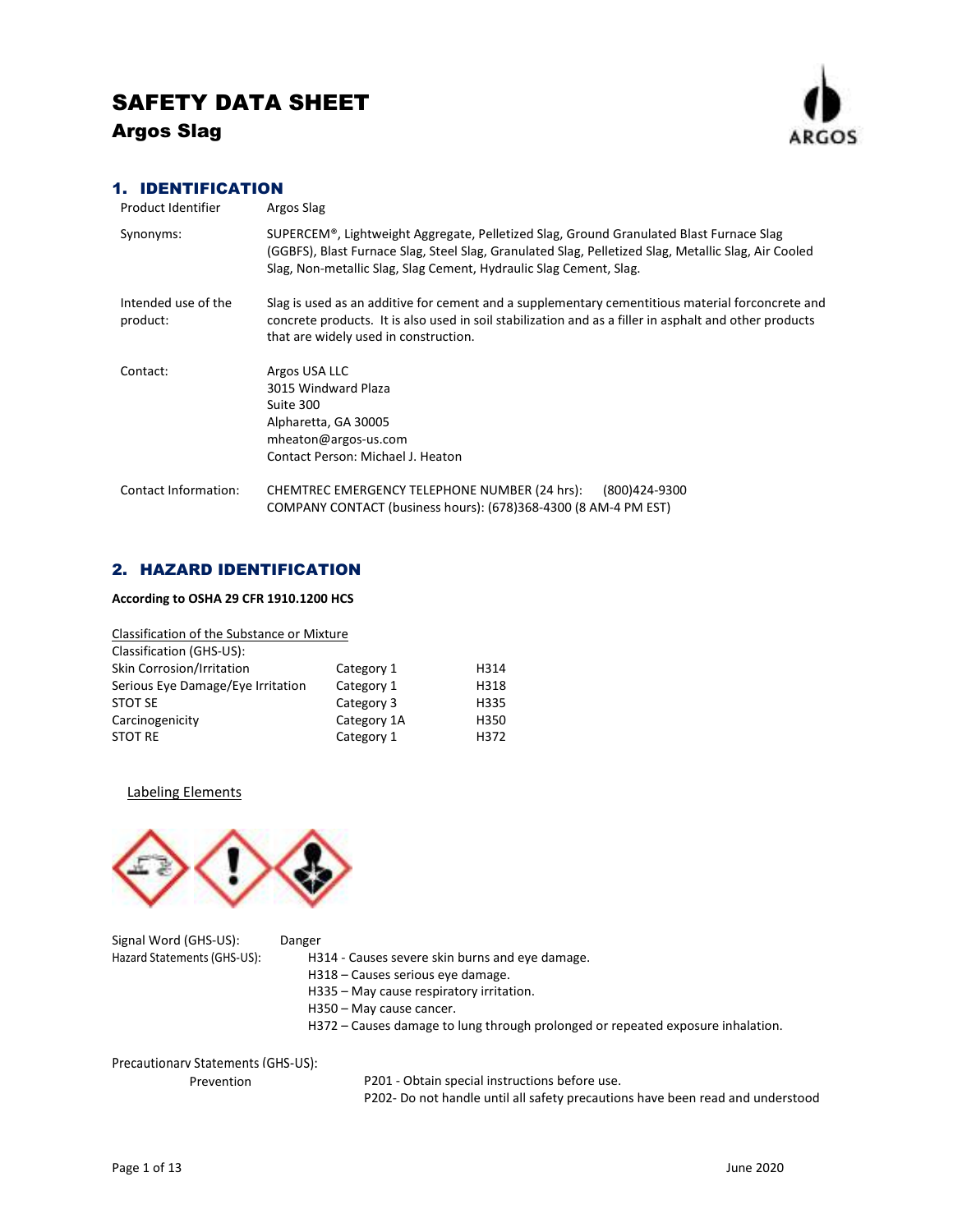

## 1. IDENTIFICATION

| Product Identifier              | Argos Slag                                                                                                                                                                                                                                                            |
|---------------------------------|-----------------------------------------------------------------------------------------------------------------------------------------------------------------------------------------------------------------------------------------------------------------------|
| Synonyms:                       | SUPERCEM®, Lightweight Aggregate, Pelletized Slag, Ground Granulated Blast Furnace Slag<br>(GGBFS), Blast Furnace Slag, Steel Slag, Granulated Slag, Pelletized Slag, Metallic Slag, Air Cooled<br>Slag, Non-metallic Slag, Slag Cement, Hydraulic Slag Cement, Slag. |
| Intended use of the<br>product: | Slag is used as an additive for cement and a supplementary cementitious material forconcrete and<br>concrete products. It is also used in soil stabilization and as a filler in asphalt and other products<br>that are widely used in construction.                   |
| Contact:                        | Argos USA LLC<br>3015 Windward Plaza<br>Suite 300<br>Alpharetta, GA 30005<br>mheaton@argos-us.com<br>Contact Person: Michael J. Heaton                                                                                                                                |
| Contact Information:            | CHEMTREC EMERGENCY TELEPHONE NUMBER (24 hrs):<br>(800)424-9300<br>COMPANY CONTACT (business hours): (678)368-4300 (8 AM-4 PM EST)                                                                                                                                     |

## 2. HAZARD IDENTIFICATION

## **According to OSHA 29 CFR 1910.1200 HCS**

| Classification of the Substance or Mixture |             |      |
|--------------------------------------------|-------------|------|
| Classification (GHS-US):                   |             |      |
| Skin Corrosion/Irritation                  | Category 1  | H314 |
| Serious Eye Damage/Eye Irritation          | Category 1  | H318 |
| <b>STOT SE</b>                             | Category 3  | H335 |
| Carcinogenicity                            | Category 1A | H350 |
| <b>STOT RE</b>                             | Category 1  | H372 |

Labeling Elements



Signal Word (GHS-US): Danger

Hazard Statements (GHS-US): H314 - Causes severe skin burns and eye damage.

- H318 Causes serious eye damage.
- H335 May cause respiratory irritation.
- H350 May cause cancer.
- H372 Causes damage to lung through prolonged or repeated exposure inhalation.

Precautionary Statements (GHS-US):

Prevention

P201 - Obtain special instructions before use.

P202- Do not handle until all safety precautions have been read and understood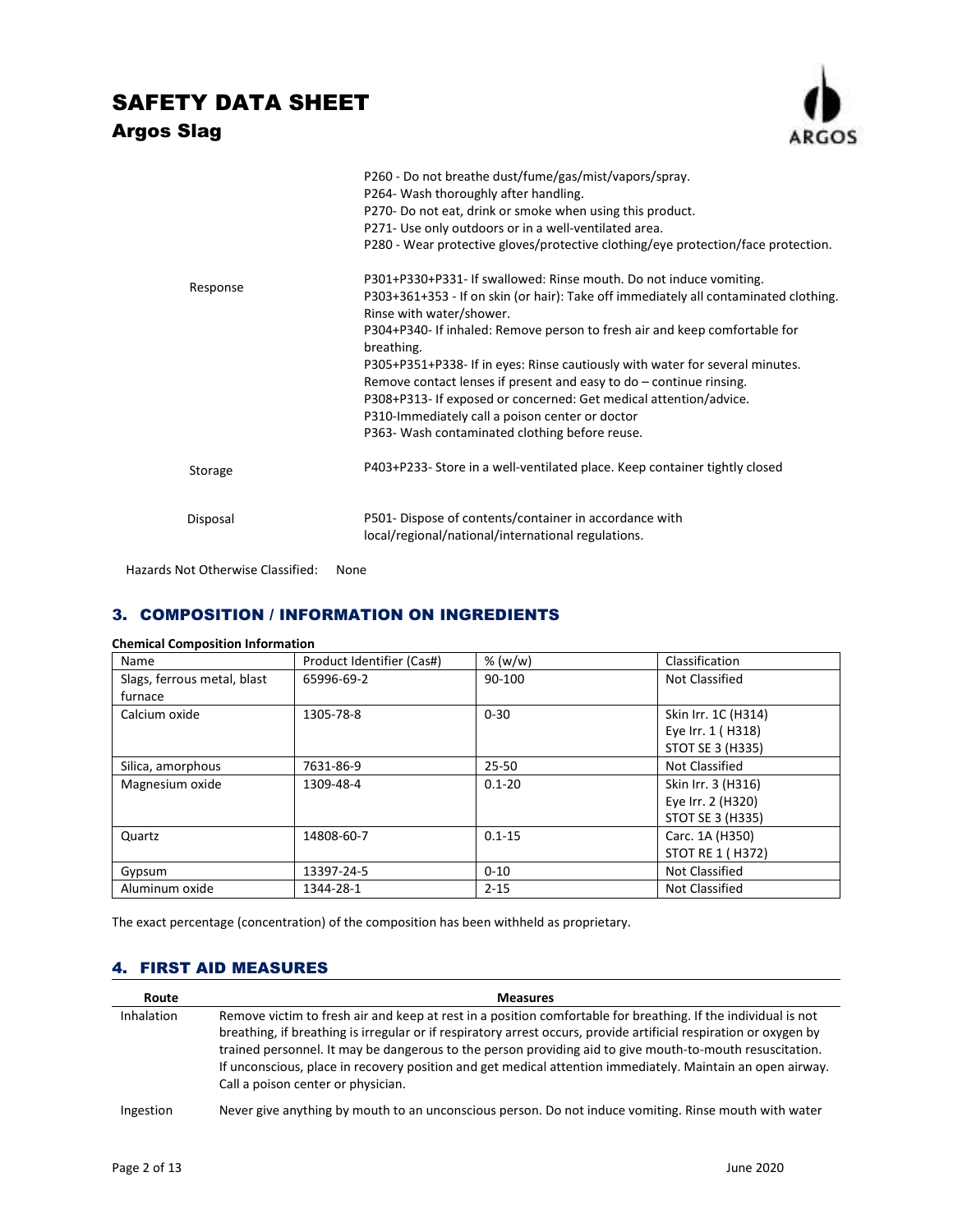

|          | P260 - Do not breathe dust/fume/gas/mist/vapors/spray.<br>P264- Wash thoroughly after handling.<br>P270- Do not eat, drink or smoke when using this product.<br>P271- Use only outdoors or in a well-ventilated area.<br>P280 - Wear protective gloves/protective clothing/eye protection/face protection.                                                                                                                                                                                                                                                                                                            |
|----------|-----------------------------------------------------------------------------------------------------------------------------------------------------------------------------------------------------------------------------------------------------------------------------------------------------------------------------------------------------------------------------------------------------------------------------------------------------------------------------------------------------------------------------------------------------------------------------------------------------------------------|
| Response | P301+P330+P331- If swallowed: Rinse mouth. Do not induce vomiting.<br>P303+361+353 - If on skin (or hair): Take off immediately all contaminated clothing.<br>Rinse with water/shower.<br>P304+P340- If inhaled: Remove person to fresh air and keep comfortable for<br>breathing.<br>P305+P351+P338- If in eyes: Rinse cautiously with water for several minutes.<br>Remove contact lenses if present and easy to $do$ – continue rinsing.<br>P308+P313- If exposed or concerned: Get medical attention/advice.<br>P310-Immediately call a poison center or doctor<br>P363- Wash contaminated clothing before reuse. |
| Storage  | P403+P233- Store in a well-ventilated place. Keep container tightly closed                                                                                                                                                                                                                                                                                                                                                                                                                                                                                                                                            |
| Disposal | P501- Dispose of contents/container in accordance with<br>local/regional/national/international regulations.                                                                                                                                                                                                                                                                                                                                                                                                                                                                                                          |

Hazards Not Otherwise Classified: None

## 3. COMPOSITION / INFORMATION ON INGREDIENTS

| Name                        | Product Identifier (Cas#) | % (w/w)    | Classification          |
|-----------------------------|---------------------------|------------|-------------------------|
| Slags, ferrous metal, blast | 65996-69-2                | 90-100     | Not Classified          |
| furnace                     |                           |            |                         |
| Calcium oxide               | 1305-78-8                 | $0 - 30$   | Skin Irr. 1C (H314)     |
|                             |                           |            | Eye Irr. 1 (H318)       |
|                             |                           |            | <b>STOT SE 3 (H335)</b> |
| Silica, amorphous           | 7631-86-9                 | $25 - 50$  | Not Classified          |
| Magnesium oxide             | 1309-48-4                 | $0.1 - 20$ | Skin Irr. 3 (H316)      |
|                             |                           |            | Eye Irr. 2 (H320)       |
|                             |                           |            | <b>STOT SE 3 (H335)</b> |
| Quartz                      | 14808-60-7                | $0.1 - 15$ | Carc. 1A (H350)         |
|                             |                           |            | STOT RE 1 (H372)        |
| Gypsum                      | 13397-24-5                | $0 - 10$   | Not Classified          |
| Aluminum oxide              | 1344-28-1                 | $2 - 15$   | Not Classified          |

## **Chemical Composition Information**

The exact percentage (concentration) of the composition has been withheld as proprietary.

## 4. FIRST AID MEASURES

| Route             | <b>Measures</b>                                                                                                                                                                                                                                                                                                                                                                                                                                                                                    |
|-------------------|----------------------------------------------------------------------------------------------------------------------------------------------------------------------------------------------------------------------------------------------------------------------------------------------------------------------------------------------------------------------------------------------------------------------------------------------------------------------------------------------------|
| <b>Inhalation</b> | Remove victim to fresh air and keep at rest in a position comfortable for breathing. If the individual is not<br>breathing, if breathing is irregular or if respiratory arrest occurs, provide artificial respiration or oxygen by<br>trained personnel. It may be dangerous to the person providing aid to give mouth-to-mouth resuscitation.<br>If unconscious, place in recovery position and get medical attention immediately. Maintain an open airway.<br>Call a poison center or physician. |
| Ingestion         | Never give anything by mouth to an unconscious person. Do not induce vomiting. Rinse mouth with water                                                                                                                                                                                                                                                                                                                                                                                              |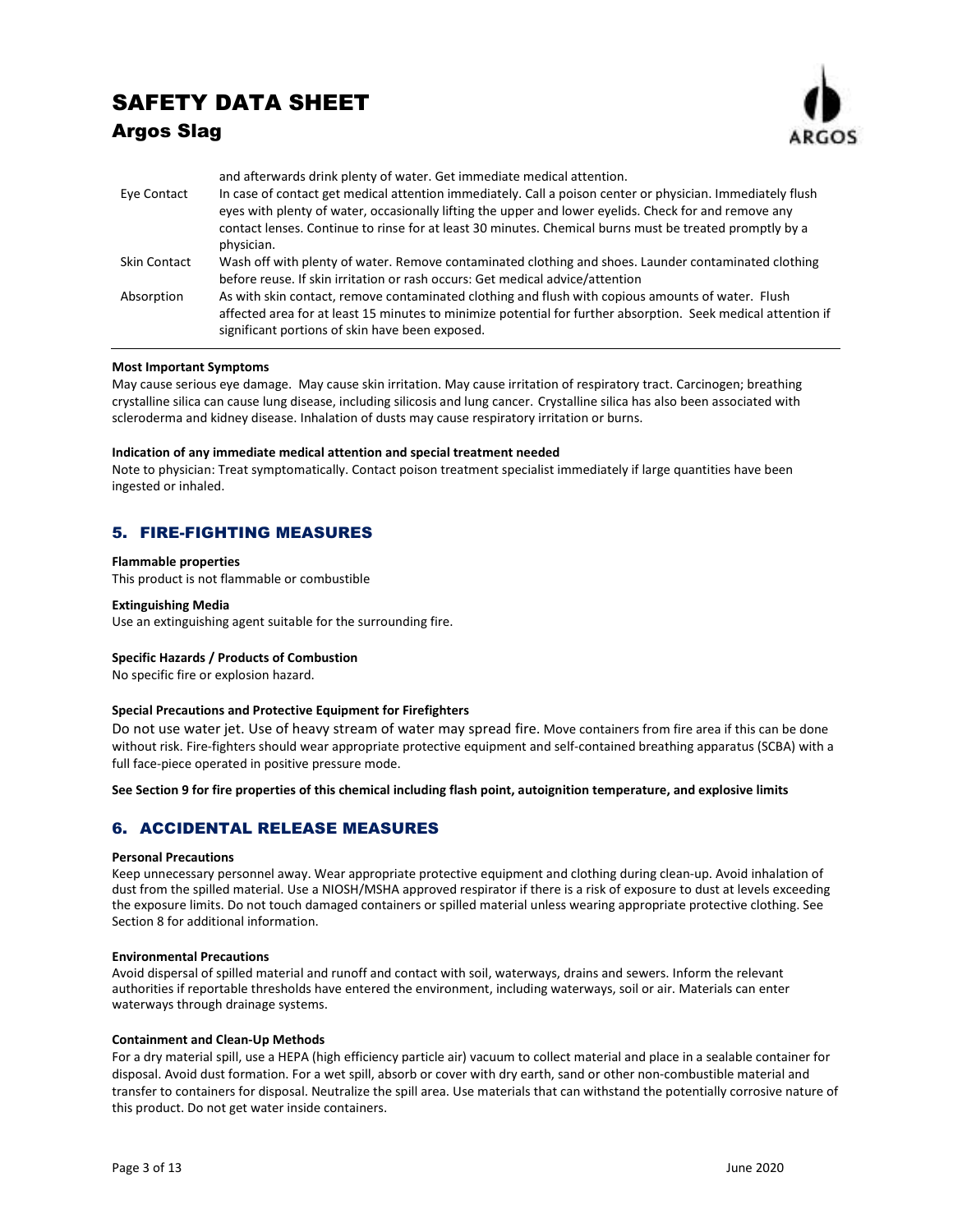## SAFETY DATA SHEET

## Argos Slag



|              | and afterwards drink plenty of water. Get immediate medical attention.                                                                                                                                                                                                                                                                       |
|--------------|----------------------------------------------------------------------------------------------------------------------------------------------------------------------------------------------------------------------------------------------------------------------------------------------------------------------------------------------|
| Eye Contact  | In case of contact get medical attention immediately. Call a poison center or physician. Immediately flush<br>eyes with plenty of water, occasionally lifting the upper and lower eyelids. Check for and remove any<br>contact lenses. Continue to rinse for at least 30 minutes. Chemical burns must be treated promptly by a<br>physician. |
| Skin Contact | Wash off with plenty of water. Remove contaminated clothing and shoes. Launder contaminated clothing<br>before reuse. If skin irritation or rash occurs: Get medical advice/attention                                                                                                                                                        |
| Absorption   | As with skin contact, remove contaminated clothing and flush with copious amounts of water. Flush<br>affected area for at least 15 minutes to minimize potential for further absorption. Seek medical attention if<br>significant portions of skin have been exposed.                                                                        |

### **Most Important Symptoms**

May cause serious eye damage. May cause skin irritation. May cause irritation of respiratory tract. Carcinogen; breathing crystalline silica can cause lung disease, including silicosis and lung cancer. Crystalline silica has also been associated with scleroderma and kidney disease. Inhalation of dusts may cause respiratory irritation or burns.

### **Indication of any immediate medical attention and special treatment needed**

Note to physician: Treat symptomatically. Contact poison treatment specialist immediately if large quantities have been ingested or inhaled.

## 5. FIRE-FIGHTING MEASURES

#### **Flammable properties**

This product is not flammable or combustible

### **Extinguishing Media**

Use an extinguishing agent suitable for the surrounding fire.

### **Specific Hazards / Products of Combustion**

No specific fire or explosion hazard.

### **Special Precautions and Protective Equipment for Firefighters**

Do not use water jet. Use of heavy stream of water may spread fire. Move containers from fire area if this can be done without risk. Fire-fighters should wear appropriate protective equipment and self-contained breathing apparatus (SCBA) with a full face-piece operated in positive pressure mode.

**See Section 9 for fire properties of this chemical including flash point, autoignition temperature, and explosive limits** 

## 6. ACCIDENTAL RELEASE MEASURES

### **Personal Precautions**

Keep unnecessary personnel away. Wear appropriate protective equipment and clothing during clean-up. Avoid inhalation of dust from the spilled material. Use a NIOSH/MSHA approved respirator if there is a risk of exposure to dust at levels exceeding the exposure limits. Do not touch damaged containers or spilled material unless wearing appropriate protective clothing. See Section 8 for additional information.

### **Environmental Precautions**

Avoid dispersal of spilled material and runoff and contact with soil, waterways, drains and sewers. Inform the relevant authorities if reportable thresholds have entered the environment, including waterways, soil or air. Materials can enter waterways through drainage systems.

### **Containment and Clean-Up Methods**

For a dry material spill, use a HEPA (high efficiency particle air) vacuum to collect material and place in a sealable container for disposal. Avoid dust formation. For a wet spill, absorb or cover with dry earth, sand or other non-combustible material and transfer to containers for disposal. Neutralize the spill area. Use materials that can withstand the potentially corrosive nature of this product. Do not get water inside containers.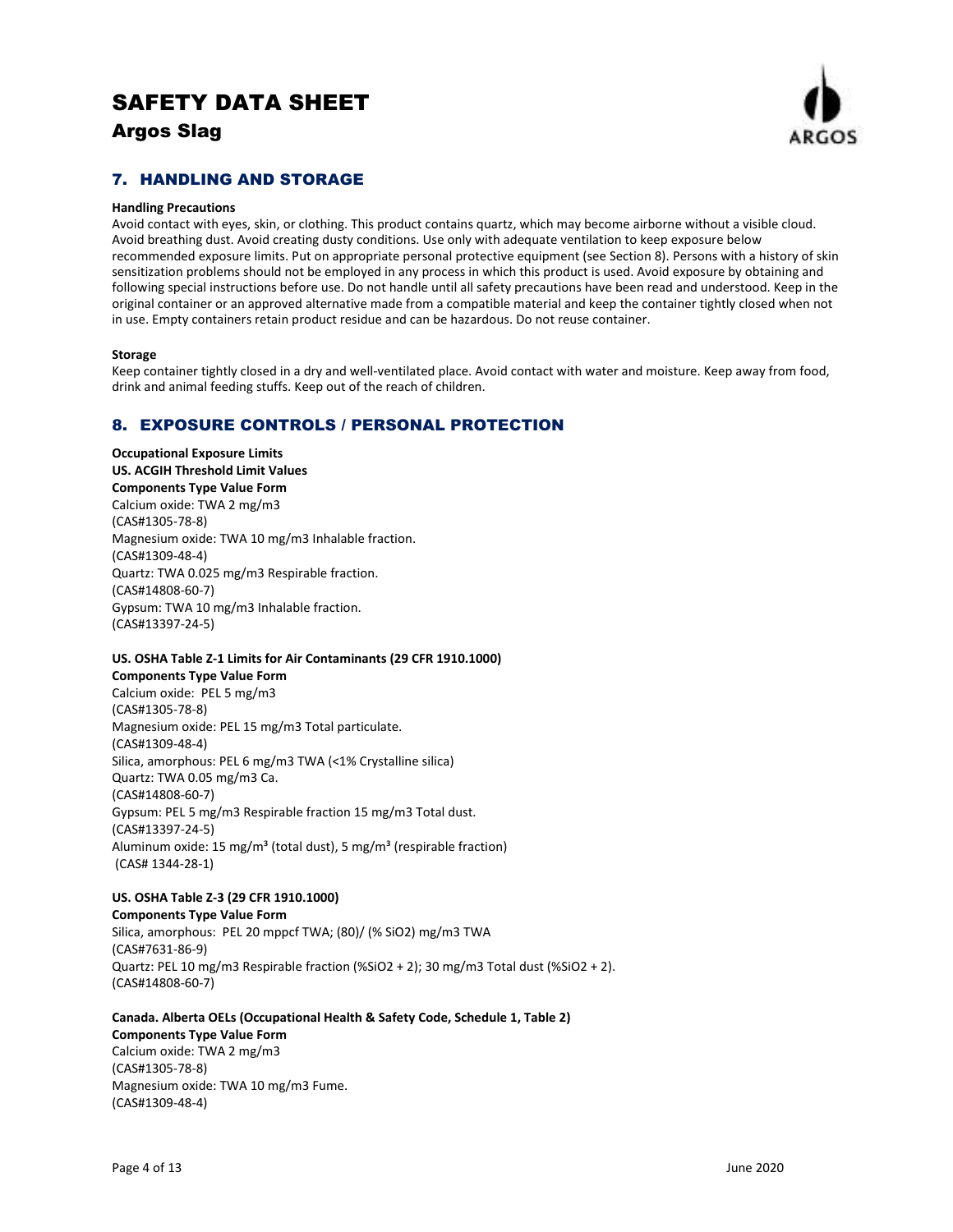

## 7. HANDLING AND STORAGE

### **Handling Precautions**

Avoid contact with eyes, skin, or clothing. This product contains quartz, which may become airborne without a visible cloud. Avoid breathing dust. Avoid creating dusty conditions. Use only with adequate ventilation to keep exposure below recommended exposure limits. Put on appropriate personal protective equipment (see Section 8). Persons with a history of skin sensitization problems should not be employed in any process in which this product is used. Avoid exposure by obtaining and following special instructions before use. Do not handle until all safety precautions have been read and understood. Keep in the original container or an approved alternative made from a compatible material and keep the container tightly closed when not in use. Empty containers retain product residue and can be hazardous. Do not reuse container.

### **Storage**

Keep container tightly closed in a dry and well-ventilated place. Avoid contact with water and moisture. Keep away from food, drink and animal feeding stuffs. Keep out of the reach of children.

## 8. EXPOSURE CONTROLS / PERSONAL PROTECTION

**Occupational Exposure Limits US. ACGIH Threshold Limit Values Components Type Value Form** 

Calcium oxide: TWA 2 mg/m3 (CAS#1305-78-8) Magnesium oxide: TWA 10 mg/m3 Inhalable fraction. (CAS#1309-48-4) Quartz: TWA 0.025 mg/m3 Respirable fraction. (CAS#14808-60-7) Gypsum: TWA 10 mg/m3 Inhalable fraction. (CAS#13397-24-5)

## **US. OSHA Table Z-1 Limits for Air Contaminants (29 CFR 1910.1000)**

**Components Type Value Form**  Calcium oxide: PEL 5 mg/m3 (CAS#1305-78-8) Magnesium oxide: PEL 15 mg/m3 Total particulate. (CAS#1309-48-4) Silica, amorphous: PEL 6 mg/m3 TWA (<1% Crystalline silica) Quartz: TWA 0.05 mg/m3 Ca. (CAS#14808-60-7) Gypsum: PEL 5 mg/m3 Respirable fraction 15 mg/m3 Total dust. (CAS#13397-24-5) Aluminum oxide: 15 mg/m<sup>3</sup> (total dust), 5 mg/m<sup>3</sup> (respirable fraction) (CAS# 1344-28-1)

## **US. OSHA Table Z-3 (29 CFR 1910.1000)**

**Components Type Value Form**  Silica, amorphous: PEL 20 mppcf TWA; (80)/ (% SiO2) mg/m3 TWA (CAS#7631-86-9) Quartz: PEL 10 mg/m3 Respirable fraction (%SiO2 + 2); 30 mg/m3 Total dust (%SiO2 + 2). (CAS#14808-60-7)

## **Canada. Alberta OELs (Occupational Health & Safety Code, Schedule 1, Table 2)**

**Components Type Value Form**  Calcium oxide: TWA 2 mg/m3 (CAS#1305-78-8) Magnesium oxide: TWA 10 mg/m3 Fume. (CAS#1309-48-4)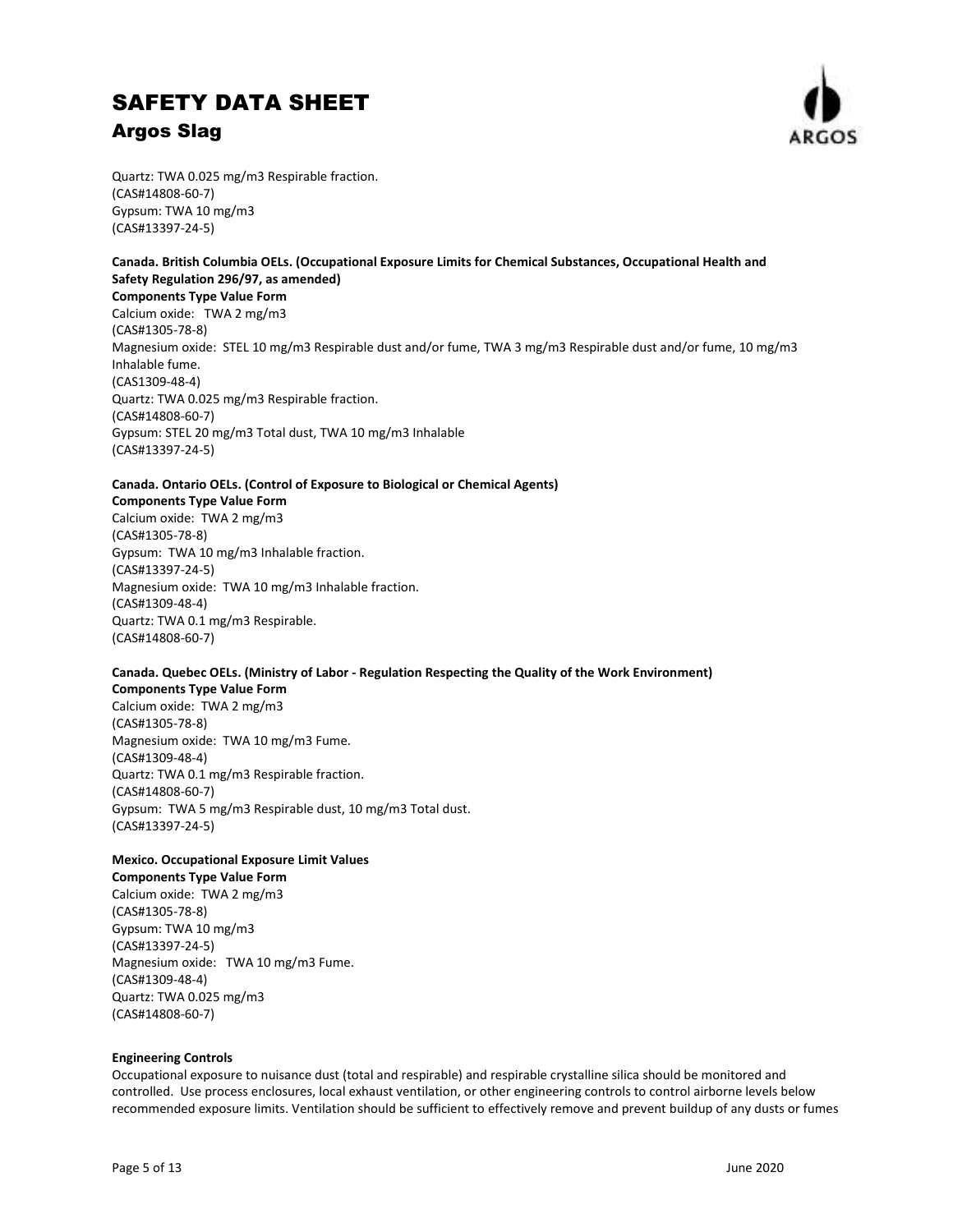

Quartz: TWA 0.025 mg/m3 Respirable fraction. (CAS#14808-60-7) Gypsum: TWA 10 mg/m3 (CAS#13397-24-5)

### **Canada. British Columbia OELs. (Occupational Exposure Limits for Chemical Substances, Occupational Health and Safety Regulation 296/97, as amended) Components Type Value Form**

Calcium oxide: TWA 2 mg/m3 (CAS#1305-78-8) Magnesium oxide: STEL 10 mg/m3 Respirable dust and/or fume, TWA 3 mg/m3 Respirable dust and/or fume, 10 mg/m3 Inhalable fume. (CAS1309-48-4) Quartz: TWA 0.025 mg/m3 Respirable fraction. (CAS#14808-60-7) Gypsum: STEL 20 mg/m3 Total dust, TWA 10 mg/m3 Inhalable (CAS#13397-24-5)

## **Canada. Ontario OELs. (Control of Exposure to Biological or Chemical Agents)**

**Components Type Value Form**  Calcium oxide: TWA 2 mg/m3 (CAS#1305-78-8) Gypsum: TWA 10 mg/m3 Inhalable fraction. (CAS#13397-24-5) Magnesium oxide: TWA 10 mg/m3 Inhalable fraction. (CAS#1309-48-4) Quartz: TWA 0.1 mg/m3 Respirable. (CAS#14808-60-7)

## **Canada. Quebec OELs. (Ministry of Labor - Regulation Respecting the Quality of the Work Environment)**

**Components Type Value Form**  Calcium oxide: TWA 2 mg/m3 (CAS#1305-78-8) Magnesium oxide: TWA 10 mg/m3 Fume. (CAS#1309-48-4) Quartz: TWA 0.1 mg/m3 Respirable fraction. (CAS#14808-60-7) Gypsum: TWA 5 mg/m3 Respirable dust, 10 mg/m3 Total dust. (CAS#13397-24-5)

## **Mexico. Occupational Exposure Limit Values**

**Components Type Value Form** 

Calcium oxide: TWA 2 mg/m3 (CAS#1305-78-8) Gypsum: TWA 10 mg/m3 (CAS#13397-24-5) Magnesium oxide: TWA 10 mg/m3 Fume. (CAS#1309-48-4) Quartz: TWA 0.025 mg/m3 (CAS#14808-60-7)

### **Engineering Controls**

Occupational exposure to nuisance dust (total and respirable) and respirable crystalline silica should be monitored and controlled. Use process enclosures, local exhaust ventilation, or other engineering controls to control airborne levels below recommended exposure limits. Ventilation should be sufficient to effectively remove and prevent buildup of any dusts or fumes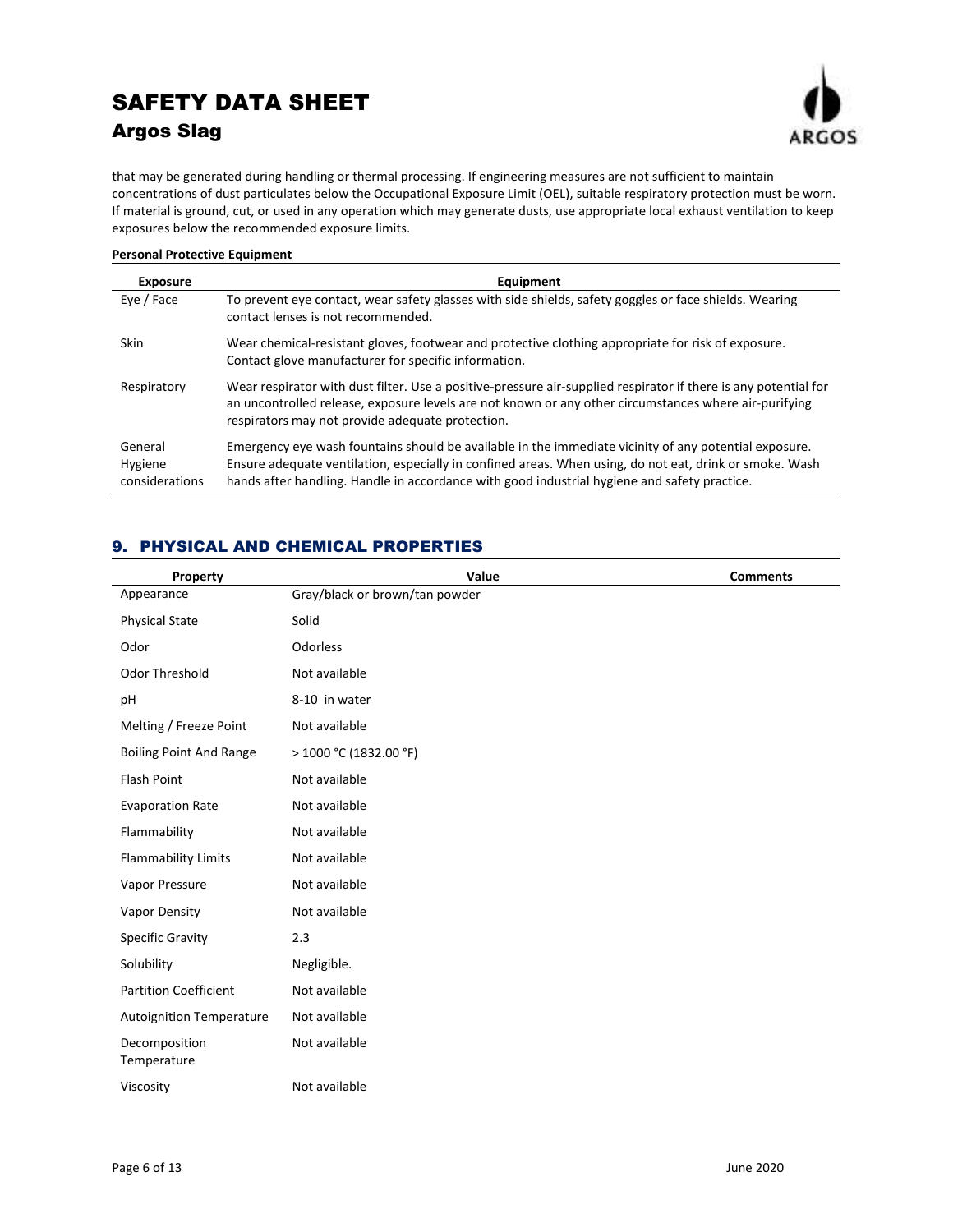

that may be generated during handling or thermal processing. If engineering measures are not sufficient to maintain concentrations of dust particulates below the Occupational Exposure Limit (OEL), suitable respiratory protection must be worn. If material is ground, cut, or used in any operation which may generate dusts, use appropriate local exhaust ventilation to keep exposures below the recommended exposure limits.

### **Personal Protective Equipment**

| <b>Exposure</b>                      | Equipment                                                                                                                                                                                                                                                                                                        |
|--------------------------------------|------------------------------------------------------------------------------------------------------------------------------------------------------------------------------------------------------------------------------------------------------------------------------------------------------------------|
| Eye / Face                           | To prevent eye contact, wear safety glasses with side shields, safety goggles or face shields. Wearing<br>contact lenses is not recommended.                                                                                                                                                                     |
| <b>Skin</b>                          | Wear chemical-resistant gloves, footwear and protective clothing appropriate for risk of exposure.<br>Contact glove manufacturer for specific information.                                                                                                                                                       |
| Respiratory                          | Wear respirator with dust filter. Use a positive-pressure air-supplied respirator if there is any potential for<br>an uncontrolled release, exposure levels are not known or any other circumstances where air-purifying<br>respirators may not provide adequate protection.                                     |
| General<br>Hygiene<br>considerations | Emergency eye wash fountains should be available in the immediate vicinity of any potential exposure.<br>Ensure adequate ventilation, especially in confined areas. When using, do not eat, drink or smoke. Wash<br>hands after handling. Handle in accordance with good industrial hygiene and safety practice. |

## 9. PHYSICAL AND CHEMICAL PROPERTIES

| Property                        | Value                          | <b>Comments</b> |
|---------------------------------|--------------------------------|-----------------|
| Appearance                      | Gray/black or brown/tan powder |                 |
| <b>Physical State</b>           | Solid                          |                 |
| Odor                            | Odorless                       |                 |
| <b>Odor Threshold</b>           | Not available                  |                 |
| pH                              | 8-10 in water                  |                 |
| Melting / Freeze Point          | Not available                  |                 |
| <b>Boiling Point And Range</b>  | > 1000 °C (1832.00 °F)         |                 |
| Flash Point                     | Not available                  |                 |
| <b>Evaporation Rate</b>         | Not available                  |                 |
| Flammability                    | Not available                  |                 |
| <b>Flammability Limits</b>      | Not available                  |                 |
| Vapor Pressure                  | Not available                  |                 |
| Vapor Density                   | Not available                  |                 |
| <b>Specific Gravity</b>         | 2.3                            |                 |
| Solubility                      | Negligible.                    |                 |
| <b>Partition Coefficient</b>    | Not available                  |                 |
| <b>Autoignition Temperature</b> | Not available                  |                 |
| Decomposition<br>Temperature    | Not available                  |                 |
| Viscosity                       | Not available                  |                 |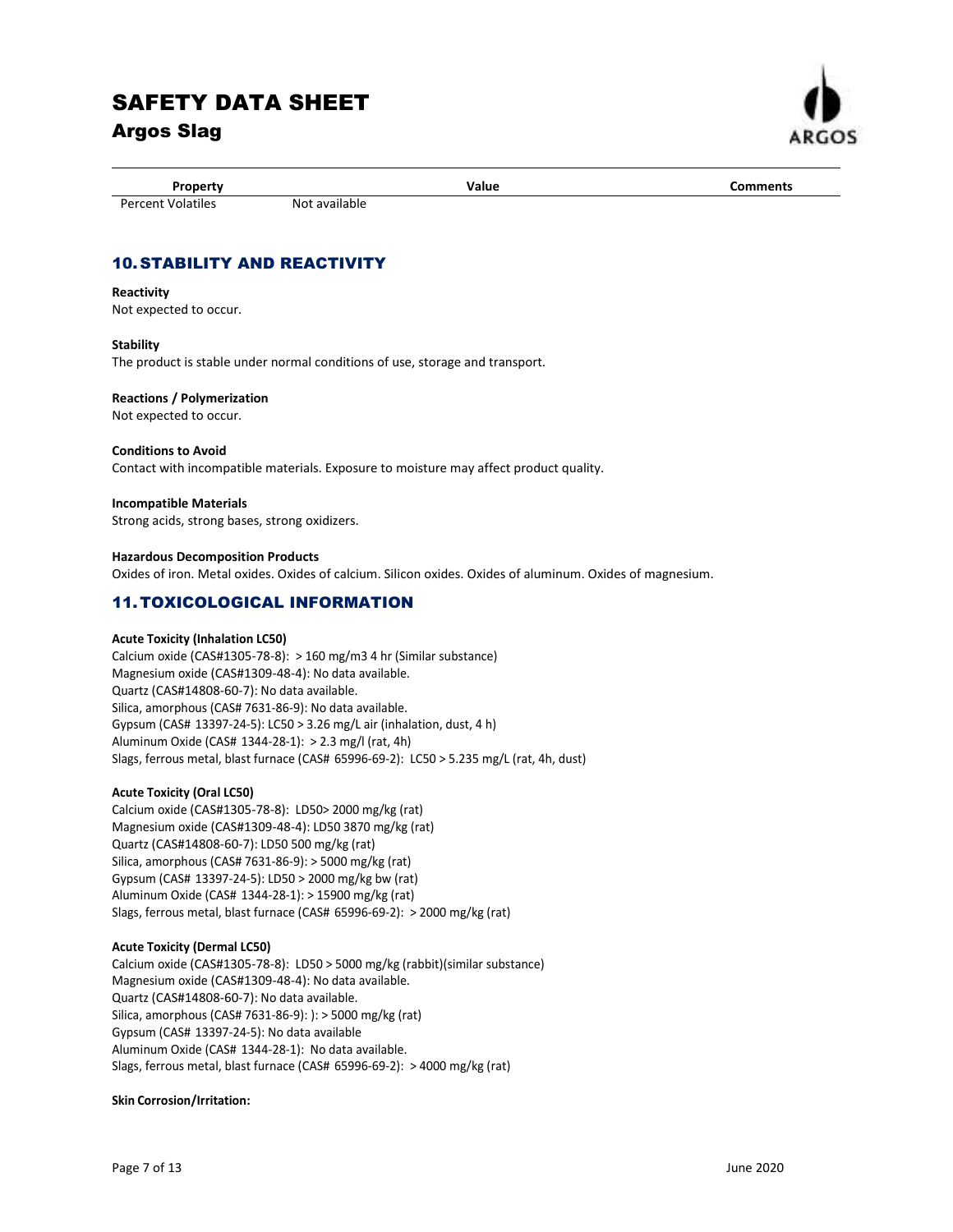# SAFETY DATA SHEET

## Argos Slag



Property **Comments Comments Value Comments** 

## 10. STABILITY AND REACTIVITY

Percent Volatiles Not available

## **Reactivity**

Not expected to occur.

## **Stability**

The product is stable under normal conditions of use, storage and transport.

## **Reactions / Polymerization**

Not expected to occur.

### **Conditions to Avoid**

Contact with incompatible materials. Exposure to moisture may affect product quality.

### **Incompatible Materials**

Strong acids, strong bases, strong oxidizers.

### **Hazardous Decomposition Products**  Oxides of iron. Metal oxides. Oxides of calcium. Silicon oxides. Oxides of aluminum. Oxides of magnesium.

## 11. TOXICOLOGICAL INFORMATION

## **Acute Toxicity (Inhalation LC50)**

Calcium oxide (CAS#1305-78-8): > 160 mg/m3 4 hr (Similar substance) Magnesium oxide (CAS#1309-48-4): No data available. Quartz (CAS#14808-60-7): No data available. Silica, amorphous (CAS# 7631-86-9): No data available. Gypsum (CAS# 13397-24-5): LC50 > 3.26 mg/L air (inhalation, dust, 4 h) Aluminum Oxide (CAS# 1344-28-1): > 2.3 mg/l (rat, 4h) Slags, ferrous metal, blast furnace (CAS# 65996-69-2): LC50 > 5.235 mg/L (rat, 4h, dust)

## **Acute Toxicity (Oral LC50)**

Calcium oxide (CAS#1305-78-8): LD50> 2000 mg/kg (rat) Magnesium oxide (CAS#1309-48-4): LD50 3870 mg/kg (rat) Quartz (CAS#14808-60-7): LD50 500 mg/kg (rat) Silica, amorphous (CAS# 7631-86-9): > 5000 mg/kg (rat) Gypsum (CAS# 13397-24-5): LD50 > 2000 mg/kg bw (rat) Aluminum Oxide (CAS# 1344-28-1): > 15900 mg/kg (rat) Slags, ferrous metal, blast furnace (CAS# 65996-69-2): > 2000 mg/kg (rat)

## **Acute Toxicity (Dermal LC50)**

Calcium oxide (CAS#1305-78-8): LD50 > 5000 mg/kg (rabbit)(similar substance) Magnesium oxide (CAS#1309-48-4): No data available. Quartz (CAS#14808-60-7): No data available. Silica, amorphous (CAS# 7631-86-9): ): > 5000 mg/kg (rat) Gypsum (CAS# 13397-24-5): No data available Aluminum Oxide (CAS# 1344-28-1): No data available. Slags, ferrous metal, blast furnace (CAS# 65996-69-2): > 4000 mg/kg (rat)

## **Skin Corrosion/Irritation:**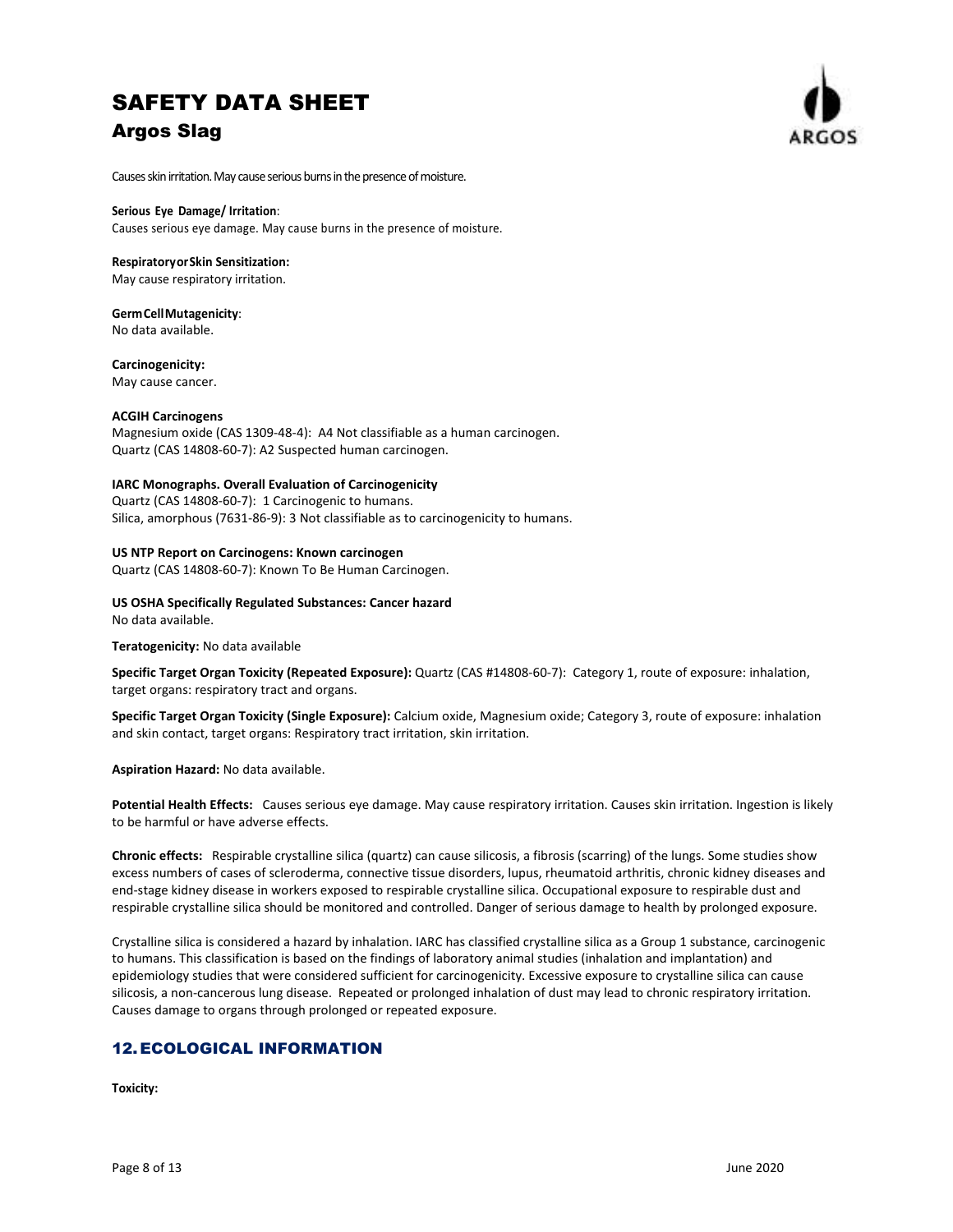

Causes skin irritation. May cause serious burns in the presence of moisture.

#### **Serious Eye Damage/ Irritation**:

Causes serious eye damage. May cause burns in the presence of moisture.

#### **Respiratory or Skin Sensitization:**

May cause respiratory irritation.

#### **Germ Cell Mutagenicity**:

No data available.

#### **Carcinogenicity:**

May cause cancer.

#### **ACGIH Carcinogens**

Magnesium oxide (CAS 1309-48-4): A4 Not classifiable as a human carcinogen. Quartz (CAS 14808-60-7): A2 Suspected human carcinogen.

#### **IARC Monographs. Overall Evaluation of Carcinogenicity**

Quartz (CAS 14808-60-7): 1 Carcinogenic to humans. Silica, amorphous (7631-86-9): 3 Not classifiable as to carcinogenicity to humans.

### **US NTP Report on Carcinogens: Known carcinogen**

Quartz (CAS 14808-60-7): Known To Be Human Carcinogen.

**US OSHA Specifically Regulated Substances: Cancer hazard**  No data available.

**Teratogenicity:** No data available

**Specific Target Organ Toxicity (Repeated Exposure):** Quartz (CAS #14808-60-7): Category 1, route of exposure: inhalation, target organs: respiratory tract and organs.

**Specific Target Organ Toxicity (Single Exposure):** Calcium oxide, Magnesium oxide; Category 3, route of exposure: inhalation and skin contact, target organs: Respiratory tract irritation, skin irritation.

**Aspiration Hazard:** No data available.

**Potential Health Effects:** Causes serious eye damage. May cause respiratory irritation. Causes skin irritation. Ingestion is likely to be harmful or have adverse effects.

**Chronic effects:** Respirable crystalline silica (quartz) can cause silicosis, a fibrosis (scarring) of the lungs. Some studies show excess numbers of cases of scleroderma, connective tissue disorders, lupus, rheumatoid arthritis, chronic kidney diseases and end-stage kidney disease in workers exposed to respirable crystalline silica. Occupational exposure to respirable dust and respirable crystalline silica should be monitored and controlled. Danger of serious damage to health by prolonged exposure.

Crystalline silica is considered a hazard by inhalation. IARC has classified crystalline silica as a Group 1 substance, carcinogenic to humans. This classification is based on the findings of laboratory animal studies (inhalation and implantation) and epidemiology studies that were considered sufficient for carcinogenicity. Excessive exposure to crystalline silica can cause silicosis, a non-cancerous lung disease. Repeated or prolonged inhalation of dust may lead to chronic respiratory irritation. Causes damage to organs through prolonged or repeated exposure.

## 12. ECOLOGICAL INFORMATION

**Toxicity:**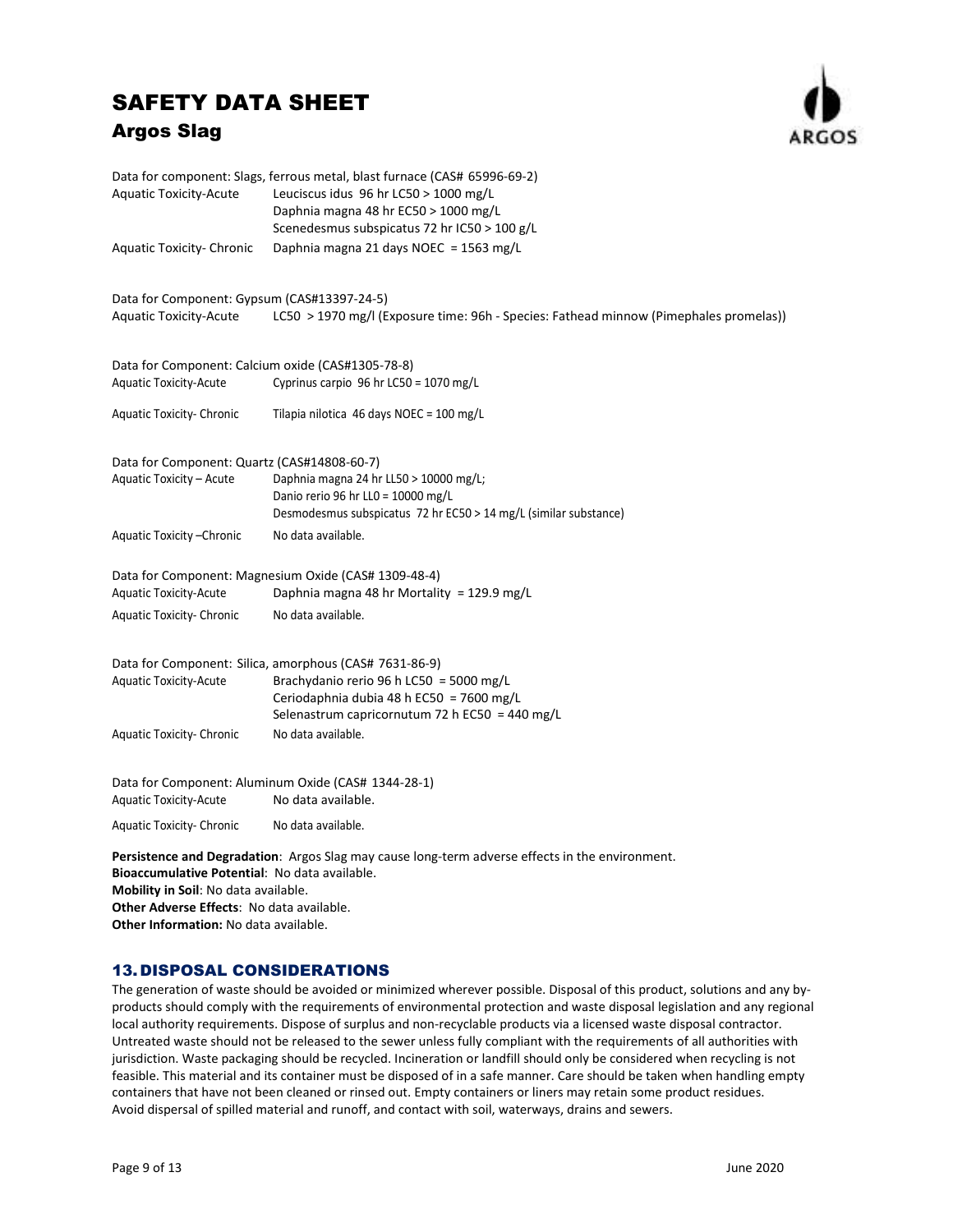

|                                                   | Data for component: Slags, ferrous metal, blast furnace (CAS# 65996-69-2)                       |
|---------------------------------------------------|-------------------------------------------------------------------------------------------------|
| <b>Aquatic Toxicity-Acute</b>                     | Leuciscus idus 96 hr LC50 > 1000 mg/L                                                           |
|                                                   | Daphnia magna 48 hr EC50 > 1000 mg/L                                                            |
|                                                   | Scenedesmus subspicatus 72 hr IC50 > 100 g/L                                                    |
| <b>Aquatic Toxicity- Chronic</b>                  | Daphnia magna 21 days NOEC = 1563 mg/L                                                          |
| Data for Component: Gypsum (CAS#13397-24-5)       |                                                                                                 |
| <b>Aquatic Toxicity-Acute</b>                     | LC50 > 1970 mg/l (Exposure time: 96h - Species: Fathead minnow (Pimephales promelas))           |
| Data for Component: Calcium oxide (CAS#1305-78-8) |                                                                                                 |
| Aquatic Toxicity-Acute                            | Cyprinus carpio 96 hr LC50 = 1070 mg/L                                                          |
| <b>Aquatic Toxicity- Chronic</b>                  | Tilapia nilotica 46 days NOEC = 100 mg/L                                                        |
| Data for Component: Quartz (CAS#14808-60-7)       |                                                                                                 |
| Aquatic Toxicity - Acute                          | Daphnia magna 24 hr LL50 > 10000 mg/L;                                                          |
|                                                   | Danio rerio 96 hr LL0 = 10000 mg/L                                                              |
|                                                   | Desmodesmus subspicatus 72 hr EC50 > 14 mg/L (similar substance)                                |
| Aquatic Toxicity - Chronic                        | No data available.                                                                              |
|                                                   | Data for Component: Magnesium Oxide (CAS# 1309-48-4)                                            |
| <b>Aquatic Toxicity-Acute</b>                     | Daphnia magna 48 hr Mortality = 129.9 mg/L                                                      |
| <b>Aquatic Toxicity- Chronic</b>                  | No data available.                                                                              |
|                                                   | Data for Component: Silica, amorphous (CAS# 7631-86-9)                                          |
| <b>Aquatic Toxicity-Acute</b>                     | Brachydanio rerio 96 h LC50 = 5000 mg/L                                                         |
|                                                   | Ceriodaphnia dubia 48 h EC50 = 7600 mg/L                                                        |
|                                                   | Selenastrum capricornutum 72 h EC50 = 440 mg/L                                                  |
| <b>Aquatic Toxicity- Chronic</b>                  | No data available.                                                                              |
|                                                   | Data for Component: Aluminum Oxide (CAS# 1344-28-1)                                             |
| <b>Aquatic Toxicity-Acute</b>                     | No data available.                                                                              |
| <b>Aquatic Toxicity- Chronic</b>                  | No data available.                                                                              |
|                                                   | Persistence and Degradation: Argos Slag may cause long-term adverse effects in the environment. |

**Bioaccumulative Potential**: No data available. **Mobility in Soil**: No data available. **Other Adverse Effects**: No data available.

**Other Information:** No data available.

## 13.DISPOSAL CONSIDERATIONS

The generation of waste should be avoided or minimized wherever possible. Disposal of this product, solutions and any byproducts should comply with the requirements of environmental protection and waste disposal legislation and any regional local authority requirements. Dispose of surplus and non-recyclable products via a licensed waste disposal contractor. Untreated waste should not be released to the sewer unless fully compliant with the requirements of all authorities with jurisdiction. Waste packaging should be recycled. Incineration or landfill should only be considered when recycling is not feasible. This material and its container must be disposed of in a safe manner. Care should be taken when handling empty containers that have not been cleaned or rinsed out. Empty containers or liners may retain some product residues. Avoid dispersal of spilled material and runoff, and contact with soil, waterways, drains and sewers.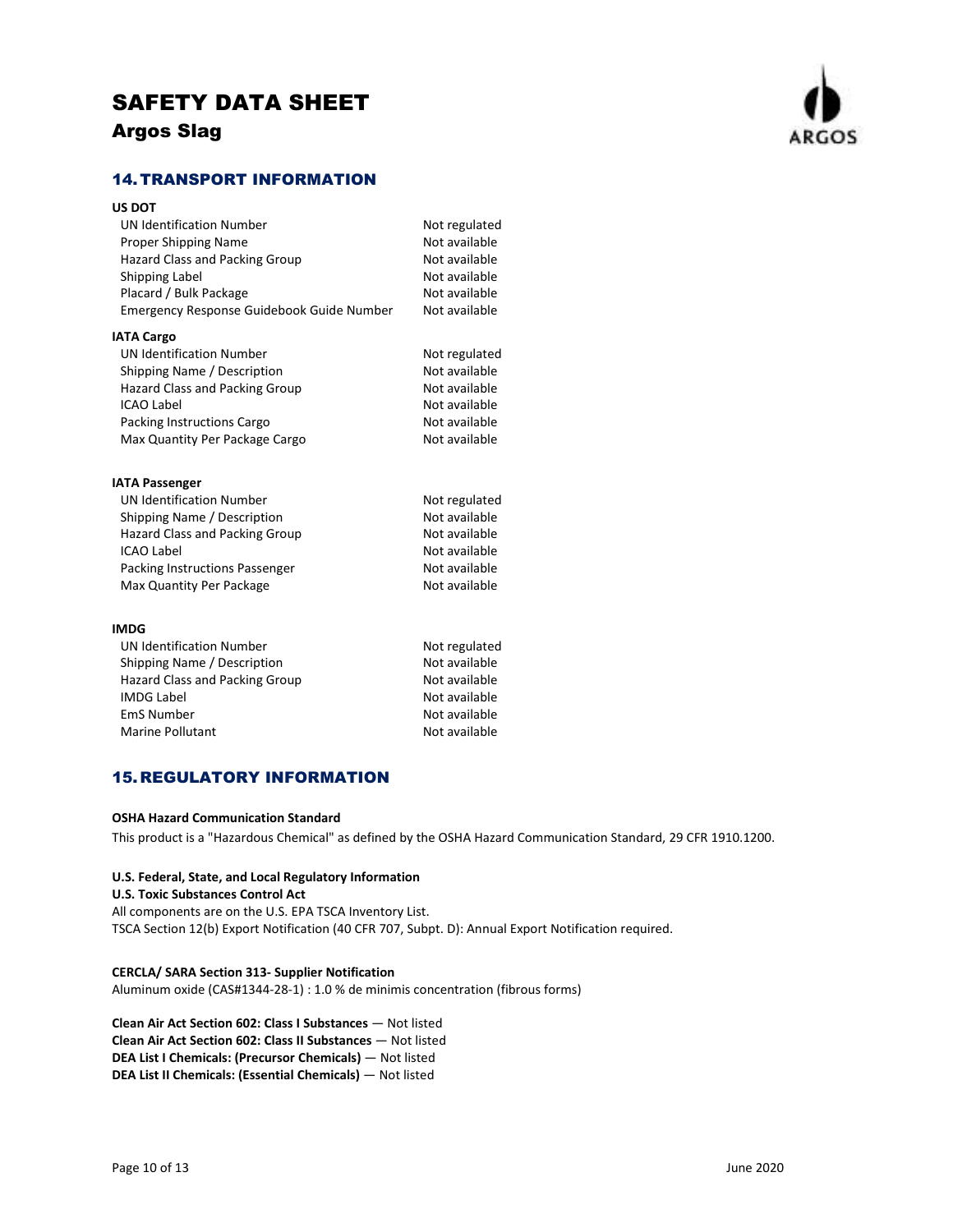

## 14. TRANSPORT INFORMATION

| Not regulated |
|---------------|
| Not available |
| Not available |
| Not available |
| Not available |
| Not available |
|               |
| Not regulated |
| Not available |
| Not available |
| Not available |
| Not available |
| Not available |
|               |
| Not regulated |
| Not available |
| Not available |
| Not available |
| Not available |
| Not available |
|               |
| Not regulated |
| Not available |
| Not available |
| Not available |
| Not available |
|               |

Marine Pollutant Not available

## 15.REGULATORY INFORMATION

### **OSHA Hazard Communication Standard**

This product is a "Hazardous Chemical" as defined by the OSHA Hazard Communication Standard, 29 CFR 1910.1200.

### **U.S. Federal, State, and Local Regulatory Information**

**U.S. Toxic Substances Control Act**  All components are on the U.S. EPA TSCA Inventory List. TSCA Section 12(b) Export Notification (40 CFR 707, Subpt. D): Annual Export Notification required.

### **CERCLA/ SARA Section 313- Supplier Notification**

Aluminum oxide (CAS#1344-28-1) : 1.0 % de minimis concentration (fibrous forms)

**Clean Air Act Section 602: Class I Substances** — Not listed **Clean Air Act Section 602: Class II Substances** — Not listed **DEA List I Chemicals: (Precursor Chemicals)** — Not listed **DEA List II Chemicals: (Essential Chemicals)** — Not listed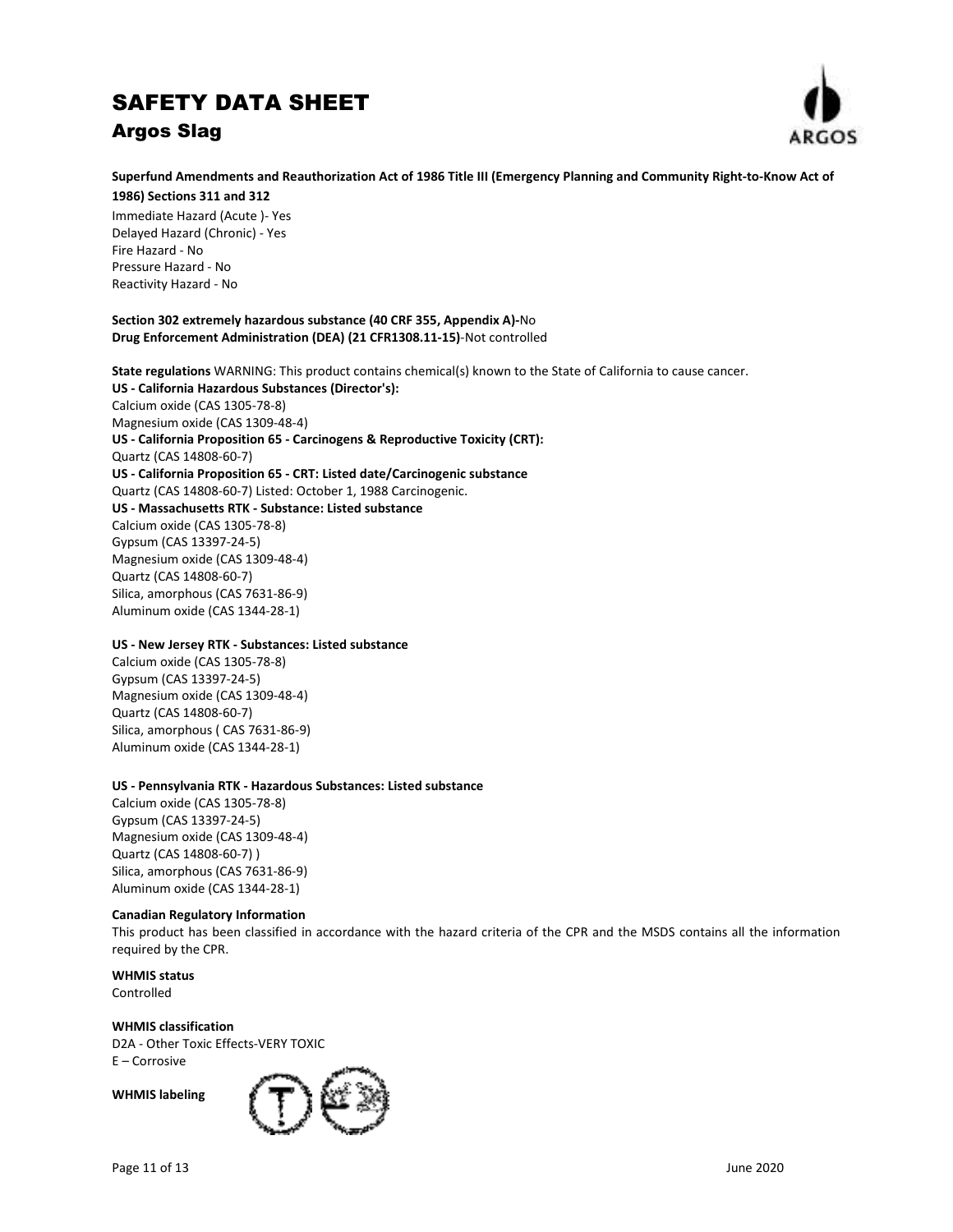

## **Superfund Amendments and Reauthorization Act of 1986 Title III (Emergency Planning and Community Right-to-Know Act of**

**1986) Sections 311 and 312**  Immediate Hazard (Acute )- Yes Delayed Hazard (Chronic) - Yes Fire Hazard - No Pressure Hazard - No Reactivity Hazard - No

### **Section 302 extremely hazardous substance (40 CRF 355, Appendix A)-**No **Drug Enforcement Administration (DEA) (21 CFR1308.11-15)**-Not controlled

**State regulations** WARNING: This product contains chemical(s) known to the State of California to cause cancer. **US - California Hazardous Substances (Director's):** Calcium oxide (CAS 1305-78-8) Magnesium oxide (CAS 1309-48-4) **US - California Proposition 65 - Carcinogens & Reproductive Toxicity (CRT):** Quartz (CAS 14808-60-7) **US - California Proposition 65 - CRT: Listed date/Carcinogenic substance**  Quartz (CAS 14808-60-7) Listed: October 1, 1988 Carcinogenic. **US - Massachusetts RTK - Substance: Listed substance**  Calcium oxide (CAS 1305-78-8) Gypsum (CAS 13397-24-5) Magnesium oxide (CAS 1309-48-4) Quartz (CAS 14808-60-7) Silica, amorphous (CAS 7631-86-9) Aluminum oxide (CAS 1344-28-1)

## **US - New Jersey RTK - Substances: Listed substance**

Calcium oxide (CAS 1305-78-8) Gypsum (CAS 13397-24-5) Magnesium oxide (CAS 1309-48-4) Quartz (CAS 14808-60-7) Silica, amorphous ( CAS 7631-86-9) Aluminum oxide (CAS 1344-28-1)

## **US - Pennsylvania RTK - Hazardous Substances: Listed substance**

Calcium oxide (CAS 1305-78-8) Gypsum (CAS 13397-24-5) Magnesium oxide (CAS 1309-48-4) Quartz (CAS 14808-60-7) ) Silica, amorphous (CAS 7631-86-9) Aluminum oxide (CAS 1344-28-1)

## **Canadian Regulatory Information**

This product has been classified in accordance with the hazard criteria of the CPR and the MSDS contains all the information required by the CPR.

**WHMIS status** Controlled

**WHMIS classification** D2A - Other Toxic Effects-VERY TOXIC

E – Corrosive

**WHMIS labeling** 

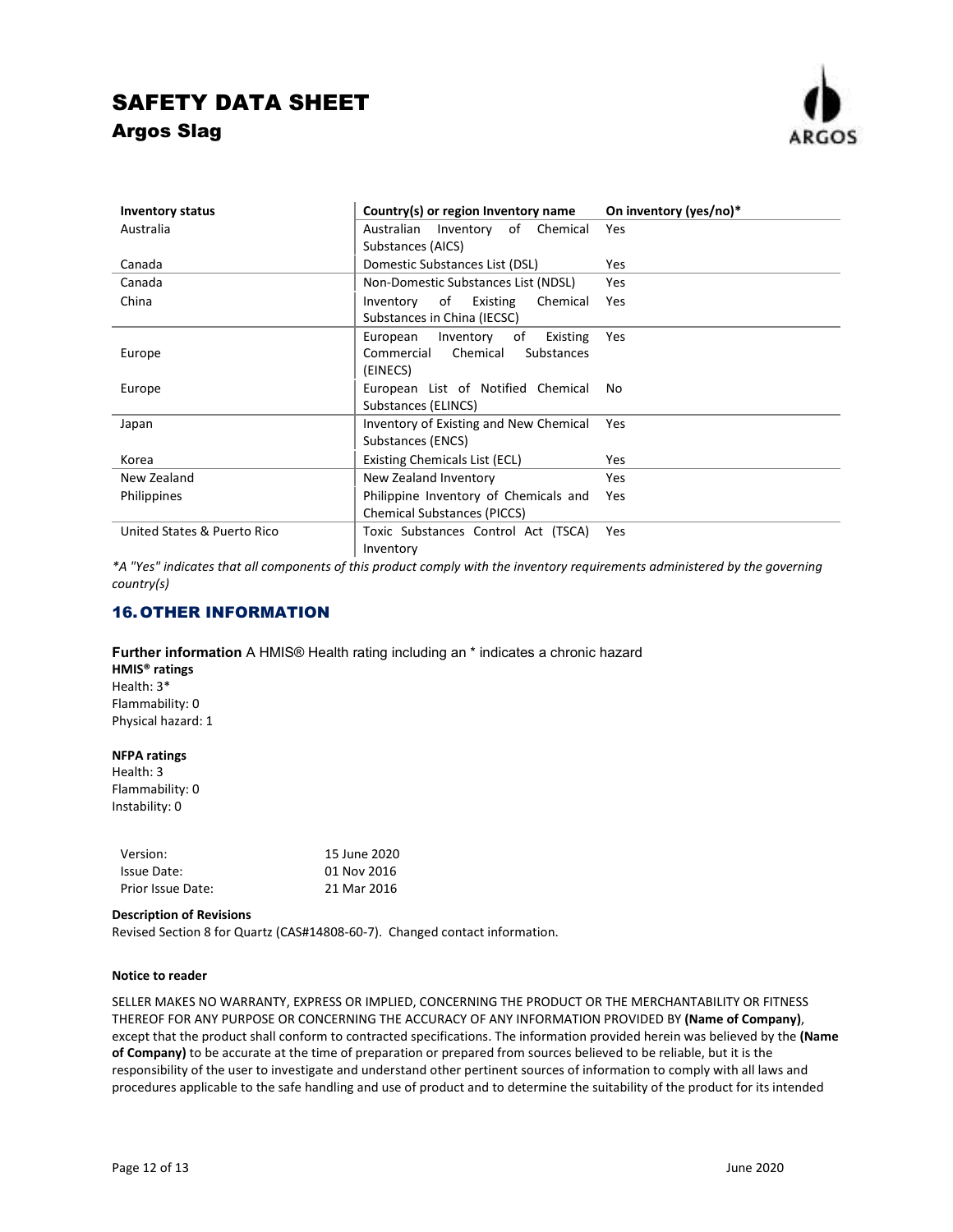

| <b>Inventory status</b>     | Country(s) or region Inventory name    | On inventory (yes/no)* |
|-----------------------------|----------------------------------------|------------------------|
| Australia                   | Australian Inventory of Chemical       | <b>Yes</b>             |
|                             | Substances (AICS)                      |                        |
| Canada                      | Domestic Substances List (DSL)         | <b>Yes</b>             |
| Canada                      | Non-Domestic Substances List (NDSL)    | Yes                    |
| China                       | Inventory of Existing<br>Chemical      | Yes                    |
|                             | Substances in China (IECSC)            |                        |
|                             | Inventory of<br>Existing<br>European   | Yes                    |
| Europe                      | Chemical<br>Commercial<br>Substances   |                        |
|                             | (EINECS)                               |                        |
| Europe                      | European List of Notified Chemical     | No.                    |
|                             | Substances (ELINCS)                    |                        |
| Japan                       | Inventory of Existing and New Chemical | Yes                    |
|                             | Substances (ENCS)                      |                        |
| Korea                       | Existing Chemicals List (ECL)          | <b>Yes</b>             |
| New Zealand                 | New Zealand Inventory                  | Yes                    |
| <b>Philippines</b>          | Philippine Inventory of Chemicals and  | Yes                    |
|                             | <b>Chemical Substances (PICCS)</b>     |                        |
| United States & Puerto Rico | Toxic Substances Control Act (TSCA)    | Yes                    |
|                             | Inventory                              |                        |

*\*A "Yes" indicates that all components of this product comply with the inventory requirements administered by the governing country(s)* 

## 16. OTHER INFORMATION

### **Further information** A HMIS® Health rating including an \* indicates a chronic hazard **HMIS® ratings**  Health: 3\* Flammability: 0 Physical hazard: 1

### **NFPA ratings**

Health: 3 Flammability: 0 Instability: 0

| Version:          | 15 June 2020 |
|-------------------|--------------|
| Issue Date:       | 01 Nov 2016  |
| Prior Issue Date: | 21 Mar 2016  |

#### **Description of Revisions**

Revised Section 8 for Quartz (CAS#14808-60-7). Changed contact information.

### **Notice to reader**

SELLER MAKES NO WARRANTY, EXPRESS OR IMPLIED, CONCERNING THE PRODUCT OR THE MERCHANTABILITY OR FITNESS THEREOF FOR ANY PURPOSE OR CONCERNING THE ACCURACY OF ANY INFORMATION PROVIDED BY **(Name of Company)**, except that the product shall conform to contracted specifications. The information provided herein was believed by the **(Name of Company)** to be accurate at the time of preparation or prepared from sources believed to be reliable, but it is the responsibility of the user to investigate and understand other pertinent sources of information to comply with all laws and procedures applicable to the safe handling and use of product and to determine the suitability of the product for its intended